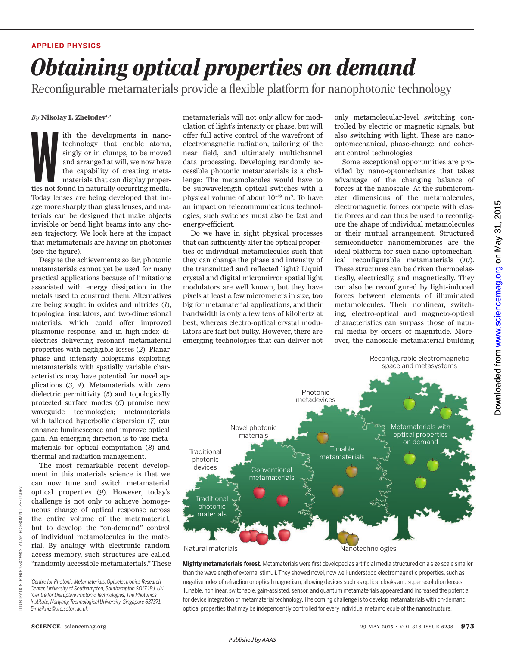### **APPLIED PHYSICS**

# *Obtaining optical properties on demand*

Reconfigurable metamaterials provide a flexible platform for nanophotonic technology

*By* **Nikolay I. Zheludev 1, 2**

The developments in nano-<br>technology that enable atoms, singly or in clumps, to be moved<br>and arranged at will, we now have<br>the capability of creating meta-<br>materials that can display proper-<br>ties not found in naturally occ technology that enable atoms, singly or in clumps, to be moved and arranged at will, we now have the capability of creating metamaterials that can display proper-Today lenses are being developed that image more sharply than glass lenses, and materials can be designed that make objects invisible or bend light beams into any chosen trajectory. We look here at the impact that metamaterials are having on photonics (see the figure).

Despite the achievements so far, photonic metamaterials cannot yet be used for many practical applications because of limitations associated with energy dissipation in the metals used to construct them. Alternatives are being sought in oxides and nitrides (*1*), topological insulators, and two-dimensional materials, which could offer improved plasmonic response, and in high-index dielectrics delivering resonant metamaterial properties with negligible losses (*2*). Planar phase and intensity holograms exploiting metamaterials with spatially variable characteristics may have potential for novel applications ( *3*, *4*). Metamaterials with zero dielectric permittivity (*5*) and topologically protected surface modes (*6*) promise new waveguide technologies; metamaterials with tailored hyperbolic dispersion (*7*) can enhance luminescence and improve optical gain. An emerging direction is to use metamaterials for optical computation (*8*) and thermal and radiation management.

The most remarkable recent development in this materials science is that we can now tune and switch metamaterial optical properties (*9*). However, today's challenge is not only to achieve homogeneous change of optical response across the entire volume of the metamaterial, but to develop the "on-demand" control of individual metamolecules in the material. By analogy with electronic random access memory, such structures are called "randomly accessible metamaterials." These **E-mail:**<br> **E-mail:**<br> **E-mail:**<br> **E-mail:**<br> **E-mail:**<br> **E-mail:**<br> **E-mail:**<br> **E-mail:**<br> **E-mail:**<br> **E-mail:**<br> **E-mail:**<br> **E-mail:**<br> **E-mail:**<br> **E-mail:**<br> **E-mail:**<br> **E-mail:**<br> **E-mail:**<br> **E-mail:**<br> **E-mail:**<br> **E-mail:** 

metamaterials will not only allow for modulation of light's intensity or phase, but will offer full active control of the wavefront of electromagnetic radiation, tailoring of the near field, and ultimately multichannel data processing. Developing randomly accessible photonic metamaterials is a challenge: The metamolecules would have to be subwavelength optical switches with a physical volume of about 10<sup>-19</sup> m<sup>3</sup>. To have an impact on telecommunications technologies, such switches must also be fast and energy-efficient.

Do we have in sight physical processes that can sufficiently alter the optical properties of individual metamolecules such that they can change the phase and intensity of the transmitted and reflected light? Liquid crystal and digital micromirror spatial light modulators are well known, but they have pixels at least a few micrometers in size, too big for metamaterial applications, and their bandwidth is only a few tens of kilohertz at best, whereas electro-optical crystal modulators are fast but bulky. However, there are emerging technologies that can deliver not only metamolecular-level switching controlled by electric or magnetic signals, but also switching with light. These are nanooptomechanical, phase-change, and coherent control technologies.

Some exceptional opportunities are provided by nano-optomechanics that takes advantage of the changing balance of forces at the nanoscale. At the submicrometer dimensions of the metamolecules, electromagnetic forces compete with elastic forces and can thus be used to reconfigure the shape of individual metamolecules or their mutual arrangement. Structured semiconductor nanomembranes are the ideal platform for such nano-optomechanical reconfigurable metamaterials (*10*). These structures can be driven thermoelastically, electrically, and magnetically. They can also be reconfigured by light-induced forces between elements of illuminated metamolecules. Their nonlinear, switching, electro-optical and magneto-optical characteristics can surpass those of natural media by orders of magnitude. Moreover, the nanoscale metamaterial building



**Mighty metamaterials forest.** Metamaterials were first developed as artificial media structured on a size scale smaller than the wavelength of external stimuli.They showed novel, now well-understood electromagnetic properties, such as negative index of refraction or optical magnetism, allowing devices such as optical cloaks and superresolution lenses. Tunable, nonlinear, switchable, gain-assisted, sensor, and quantum metamaterials appeared and increased the potential for device integration of metamaterial technology.The coming challenge is to develop metamaterials with on-demand optical properties that may be independently controlled for every individual metamolecule of the nanostructure.

LLUSTRATION:

*<sup>1</sup>Centre for Photonic Metamaterials, Optoelectronics Research Center, University of Southampton, Southampton SO17 1BJ, UK. <sup>2</sup>Centre for Disruptive Photonic Technologies,The Photonics Institute, Nanyang Technological University, Singapore 637371.*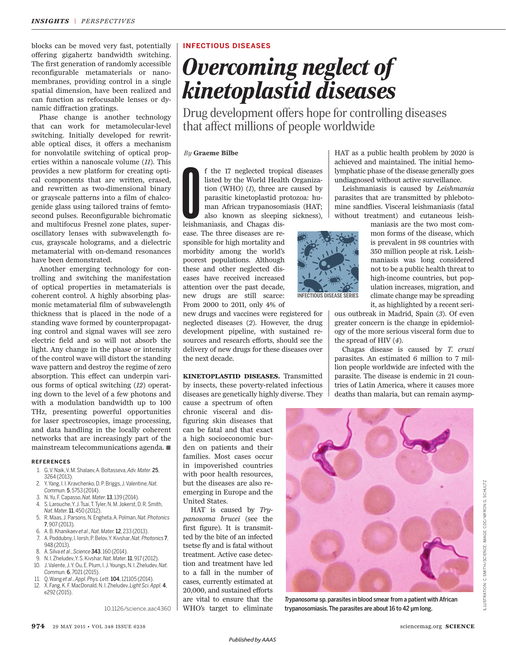blocks can be moved very fast, potentially offering gigahertz bandwidth switching. The first generation of randomly accessible reconfigurable metamaterials or nanomembranes, providing control in a single spatial dimension, have been realized and can function as refocusable lenses or dynamic diffraction gratings.

Phase change is another technology that can work for metamolecular-level switching. Initially developed for rewritable optical discs, it offers a mechanism for nonvolatile switching of optical properties within a nanoscale volume (11). This provides a new platform for creating optical components that are written, erased, and rewritten as two-dimensional binary or grayscale patterns into a film of chalcogenide glass using tailored trains of femtosecond pulses. Reconfigurable bichromatic and multifocus Fresnel zone plates, superoscillatory lenses with subwavelength focus, grayscale holograms, and a dielectric metamaterial with on-demand resonances have been demonstrated.

Another emerging technology for controlling and switching the manifestation of optical properties in metamaterials is coherent control. A highly absorbing plasmonic metamaterial film of subwavelength thickness that is placed in the node of a standing wave formed by counterpropagating control and signal waves will see zero electric field and so will not absorb the light. Any change in the phase or intensity of the control wave will distort the standing wave pattern and destroy the regime of zero absorption. This effect can underpin various forms of optical switching (12) operating down to the level of a few photons and with a modulation bandwidth up to 100 THz, presenting powerful opportunities for laser spectroscopies, image processing, and data handling in the locally coherent networks that are increasingly part of the mainstream telecommunications agenda. ■

#### **REFERENCES**

- 1. G. V. Naik, V. M. Shalaev, A. Boltasseva, *Adv. Mater.* 25, 3264 (2013).
- 2. Y. Yang, I. I. Kravchenko, D. P. Briggs, J. Valentine, *Nat. Commun.* 5, 5753 (2014).
- 3. N. Yu, F. Capasso, *Nat. Mater.*13, 139 (2014).
- 4. S. Larouche, Y. J. Tsai, T. Tyler, N. M. Jokerst, D. R. Smith, *Nat. Mater.*11, 450 (2012).
- 5. R. Maas, J. Parsons, N. Engheta, A. Polman, *Nat. Photonics* 7, 907 (2013).
- 6. A. B. Khanikaev *et al*., *Nat. Mater.*12, 233 (2013).
- 7. A. Poddubny, I. Iorsh, P. Belov, Y. Kivshar, *Nat. Photonics* 7, 948 (2013).
- 8. A. Silva *et al*., *Science* 343, 160 (2014).
- 9. N. I. Zheludev, Y. S. Kivshar, *Nat. Mater.*11, 917 (2012).
- 10. J. Valente, J. Y. Ou, E. Plum, I. J. Youngs, N. I. Zheludev, *Nat. Commun.* 6, 7021 (2015).
- 11. Q. Wang *et al*., *Appl. Phys. Lett.*104, 121105 (2014).
- 12. X. Fang, K. F. MacDonald, N. I. Zheludev, *Light Sci. Appl.* 4, e292 (2015).

10.1126/science.aac4360

## **INFECTIOUS DISEASES**

## *Overcoming neglect of kinetoplastid diseases*

Drug development offers hope for controlling diseases that affect millions of people worldwide

#### *By* **Graeme Bilbe**

f the 17 neglected tropi<br>listed by the World Healt<br>tion (WHO) (*I*), three are<br>parasitic kinetoplastid p<br>man African trypanoson<br>also known as sleeping<br>leishmaniasis, and Chagas disf the 17 neglected tropical diseases listed by the World Health Organization (WHO)  $(I)$ , three are caused by parasitic kinetoplastid protozoa: human African trypanosomiasis (HAT; also known as sleeping sickness),

ease. The three diseases are responsible for high mortality and morbidity among the world's poorest populations. Although these and other neglected diseases have received increased attention over the past decade, new drugs are still scarce: From 2000 to 2011, only 4% of

new drugs and vaccines were registered for neglected diseases (2). However, the drug development pipeline, with sustained resources and research efforts, should see the delivery of new drugs for these diseases over the next decade.

**KINETOPLASTID DISEASES.** Transmitted by insects, these poverty-related infectious diseases are genetically highly diverse. They

cause a spectrum of often chronic visceral and disfiguring skin diseases that can be fatal and that exact a high socioeconomic burden on patients and their families. Most cases occur in impoverished countries with poor health resources, but the diseases are also reemerging in Europe and the United States.

HAT is caused by *Trypanosoma brucei* (see the first figure). It is transmitted by the bite of an infected tsetse fly and is fatal without treatment. Active case detection and treatment have led to a fall in the number of cases, currently estimated at 20,000, and sustained efforts are vital to ensure that the WHO's target to eliminate HAT as a public health problem by 2020 is achieved and maintained. The initial hemolymphatic phase of the disease generally goes undiagnosed without active surveillance.

Leishmaniasis is caused by *Leishmania* parasites that are transmitted by phlebotomine sandflies. Visceral leishmaniasis (fatal without treatment) and cutaneous leish-

maniasis are the two most com-

mon forms of the disease, which is prevalent in 98 countries with 350 million people at risk. Leishmaniasis was long considered not to be a public health threat to high-income countries, but population increases, migration, and **INFECTIOUS DISEASE SERIES**

climate change may be spreading it, as highlighted by a recent serious outbreak in Madrid, Spain (3). Of even greater concern is the change in epidemiology of the more serious visceral form due to

the spread of HIV  $(4)$ . Chagas disease is caused by *T. cruzi* parasites. An estimated 6 million to 7 million people worldwide are infected with the parasite. The disease is endemic in 21 countries of Latin America, where it causes more deaths than malaria, but can remain asymp-



*Trypanosoma* sp. parasites in blood smear from a patient with African trypanosomiasis. The parasites are about 16 to 42 µm long.